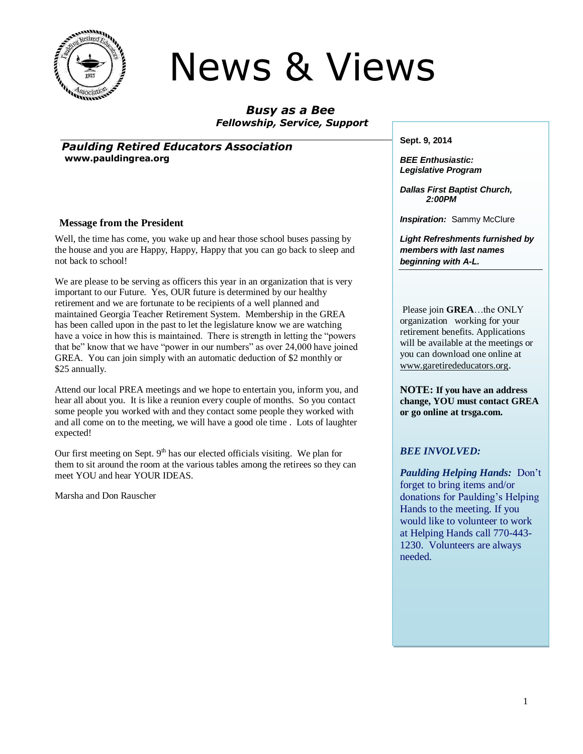

# News & Views

*Busy as a Bee Fellowship, Service, Support*

*Paulding Retired Educators Association* **www.pauldingrea.org**

#### **Message from the President**

Well, the time has come, you wake up and hear those school buses passing by the house and you are Happy, Happy, Happy that you can go back to sleep and not back to school!

We are please to be serving as officers this year in an organization that is very important to our Future. Yes, OUR future is determined by our healthy retirement and we are fortunate to be recipients of a well planned and maintained Georgia Teacher Retirement System. Membership in the GREA has been called upon in the past to let the legislature know we are watching have a voice in how this is maintained. There is strength in letting the "powers that be" know that we have "power in our numbers" as over 24,000 have joined GREA. You can join simply with an automatic deduction of \$2 monthly or \$25 annually.

Attend our local PREA meetings and we hope to entertain you, inform you, and hear all about you. It is like a reunion every couple of months. So you contact some people you worked with and they contact some people they worked with and all come on to the meeting, we will have a good ole time . Lots of laughter expected!

Our first meeting on Sept.  $9<sup>th</sup>$  has our elected officials visiting. We plan for them to sit around the room at the various tables among the retirees so they can meet YOU and hear YOUR IDEAS.

Marsha and Don Rauscher

**Sept. 9, 2014**

*BEE Enthusiastic: Legislative Program*

*Dallas First Baptist Church, 2:00PM*

**Inspiration:** Sammy McClure

*Light Refreshments furnished by members with last names beginning with A-L.*

Please join **GREA**…the ONLY organization working for your retirement benefits. Applications will be available at the meetings or you can download one online at [www.garetirededucators.org](http://www.garetirededucators.org/).

**NOTE: If you have an address change, YOU must contact GREA or go online at trsga.com.**

#### *BEE INVOLVED:*

*Paulding Helping Hands:* Don't forget to bring items and/or donations for Paulding's Helping Hands to the meeting. If you would like to volunteer to work at Helping Hands call 770-443- 1230. Volunteers are always needed.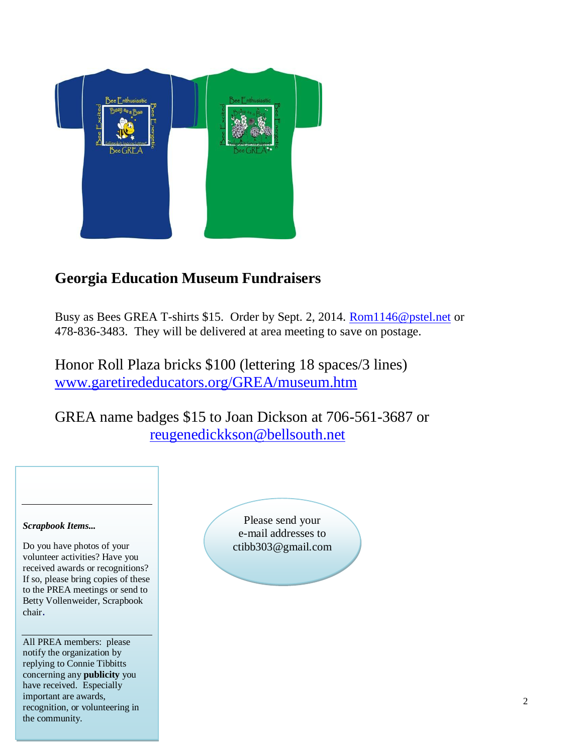

# **Georgia Education Museum Fundraisers**

Busy as Bees GREA T-shirts \$15. Order by Sept. 2, 2014. [Rom1146@pstel.net](mailto:Rom1146@pstel.net) or 478-836-3483. They will be delivered at area meeting to save on postage.

Honor Roll Plaza bricks \$100 (lettering 18 spaces/3 lines) [www.garetirededucators.org/GREA/museum.htm](http://www.garetirededucators.org/GREA/museum.htm)

GREA name badges \$15 to Joan Dickson at 706-561-3687 or [reugenedickkson@bellsouth.net](mailto:reugenedickkson@bellsouth.net)

#### *Scrapbook Items...*

Do you have photos of your volunteer activities? Have you received awards or recognitions? If so, please bring copies of these to the PREA meetings or send to Betty Vollenweider, Scrapbook chair.

All PREA members: please notify the organization by replying to Connie Tibbitts concerning any **publicity** you have received. Especially important are awards, recognition, or volunteering in the community.

Please send your e-mail addresses to ctibb303@gmail.com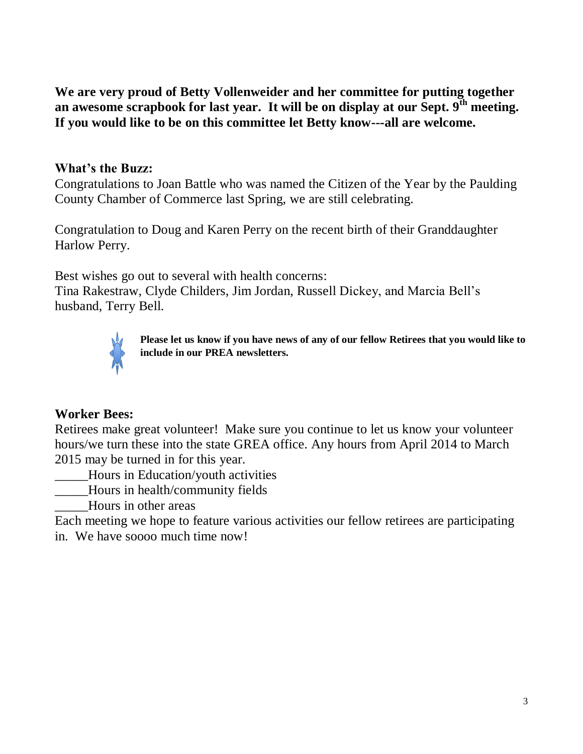**We are very proud of Betty Vollenweider and her committee for putting together an awesome scrapbook for last year. It will be on display at our Sept. 9th meeting. If you would like to be on this committee let Betty know---all are welcome.**

## **What's the Buzz:**

Congratulations to Joan Battle who was named the Citizen of the Year by the Paulding County Chamber of Commerce last Spring, we are still celebrating.

Congratulation to Doug and Karen Perry on the recent birth of their Granddaughter Harlow Perry.

Best wishes go out to several with health concerns: Tina Rakestraw, Clyde Childers, Jim Jordan, Russell Dickey, and Marcia Bell's husband, Terry Bell.



**Please let us know if you have news of any of our fellow Retirees that you would like to include in our PREA newsletters.**

#### **Worker Bees:**

Retirees make great volunteer! Make sure you continue to let us know your volunteer hours/we turn these into the state GREA office. Any hours from April 2014 to March 2015 may be turned in for this year.

\_\_\_\_\_Hours in Education/youth activities

\_\_\_\_\_Hours in health/community fields

\_\_\_\_\_Hours in other areas

Each meeting we hope to feature various activities our fellow retirees are participating in. We have soooo much time now!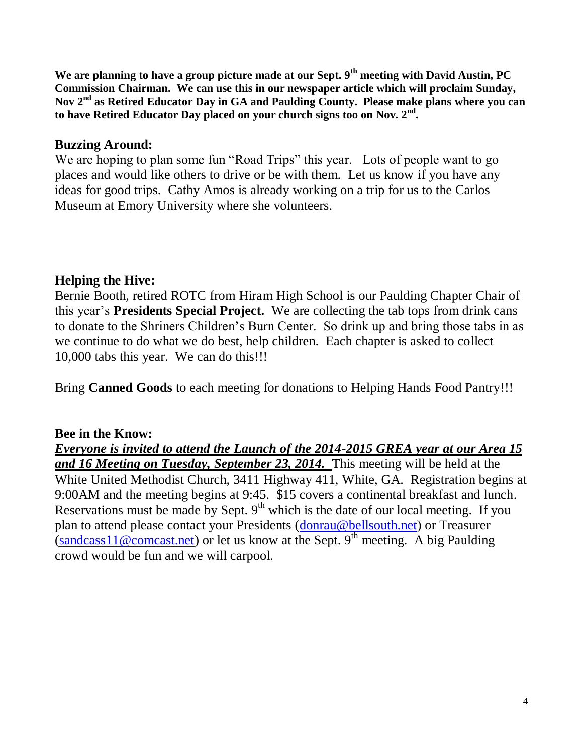**We are planning to have a group picture made at our Sept. 9th meeting with David Austin, PC Commission Chairman. We can use this in our newspaper article which will proclaim Sunday, Nov 2nd as Retired Educator Day in GA and Paulding County. Please make plans where you can to have Retired Educator Day placed on your church signs too on Nov. 2nd .**

#### **Buzzing Around:**

We are hoping to plan some fun "Road Trips" this year. Lots of people want to go places and would like others to drive or be with them. Let us know if you have any ideas for good trips. Cathy Amos is already working on a trip for us to the Carlos Museum at Emory University where she volunteers.

## **Helping the Hive:**

Bernie Booth, retired ROTC from Hiram High School is our Paulding Chapter Chair of this year's **Presidents Special Project.** We are collecting the tab tops from drink cans to donate to the Shriners Children's Burn Center. So drink up and bring those tabs in as we continue to do what we do best, help children. Each chapter is asked to collect 10,000 tabs this year. We can do this!!!

Bring **Canned Goods** to each meeting for donations to Helping Hands Food Pantry!!!

## **Bee in the Know:**

*Everyone is invited to attend the Launch of the 2014-2015 GREA year at our Area 15 and 16 Meeting on Tuesday, September 23, 2014.* This meeting will be held at the White United Methodist Church, 3411 Highway 411, White, GA. Registration begins at 9:00AM and the meeting begins at 9:45. \$15 covers a continental breakfast and lunch. Reservations must be made by Sept.  $9<sup>th</sup>$  which is the date of our local meeting. If you plan to attend please contact your Presidents [\(donrau@bellsouth.net\)](mailto:donrau@bellsouth.net) or Treasurer  $\frac{1}{\sin{\theta}}$  (sandcass 11@comcast.net) or let us know at the Sept. 9<sup>th</sup> meeting. A big Paulding crowd would be fun and we will carpool.